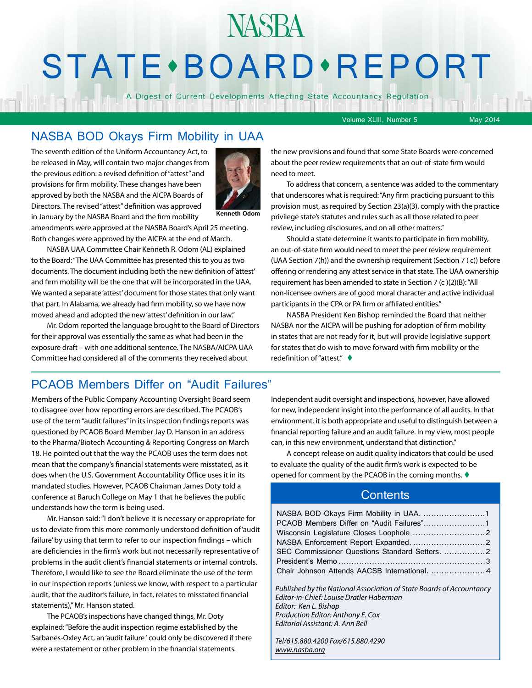## **STATE** · BOARD · REPORT

**NASBA** 

A Digest of Current Developments Affecting State Accountancy Regulation

Volume XLIII, Number 5 May 2014

#### NASBA BOD Okays Firm Mobility in UAA

The seventh edition of the Uniform Accountancy Act, to be released in May, will contain two major changes from the previous edition: a revised definition of "attest" and provisions for firm mobility. These changes have been approved by both the NASBA and the AICPA Boards of Directors. The revised "attest" definition was approved in January by the NASBA Board and the firm mobility



**Kenneth Odom**

amendments were approved at the NASBA Board's April 25 meeting. Both changes were approved by the AICPA at the end of March.

NASBA UAA Committee Chair Kenneth R. Odom (AL) explained to the Board: "The UAA Committee has presented this to you as two documents. The document including both the new definition of 'attest' and firm mobility will be the one that will be incorporated in the UAA. We wanted a separate 'attest' document for those states that only want that part. In Alabama, we already had firm mobility, so we have now moved ahead and adopted the new 'attest' definition in our law."

Mr. Odom reported the language brought to the Board of Directors for their approval was essentially the same as what had been in the exposure draft – with one additional sentence. The NASBA/AICPA UAA Committee had considered all of the comments they received about

the new provisions and found that some State Boards were concerned about the peer review requirements that an out-of-state firm would need to meet.

To address that concern, a sentence was added to the commentary that underscores what is required: "Any firm practicing pursuant to this provision must, as required by Section 23(a)(3), comply with the practice privilege state's statutes and rules such as all those related to peer review, including disclosures, and on all other matters."

Should a state determine it wants to participate in firm mobility, an out-of-state firm would need to meet the peer review requirement (UAA Section 7(h)) and the ownership requirement (Section 7 ( c)) before offering or rendering any attest service in that state. The UAA ownership requirement has been amended to state in Section 7 (c )(2)(B): "All non-licensee owners are of good moral character and active individual participants in the CPA or PA firm or affiliated entities."

NASBA President Ken Bishop reminded the Board that neither NASBA nor the AICPA will be pushing for adoption of firm mobility in states that are not ready for it, but will provide legislative support for states that do wish to move forward with firm mobility or the redefinition of "attest."  $\blacklozenge$ 

#### PCAOB Members Differ on "Audit Failures"

Members of the Public Company Accounting Oversight Board seem to disagree over how reporting errors are described. The PCAOB's use of the term "audit failures" in its inspection findings reports was questioned by PCAOB Board Member Jay D. Hanson in an address to the Pharma/Biotech Accounting & Reporting Congress on March 18. He pointed out that the way the PCAOB uses the term does not mean that the company's financial statements were misstated, as it does when the U.S. Government Accountability Office uses it in its mandated studies. However, PCAOB Chairman James Doty told a conference at Baruch College on May 1 that he believes the public understands how the term is being used.

Mr. Hanson said: "I don't believe it is necessary or appropriate for us to deviate from this more commonly understood definition of 'audit failure' by using that term to refer to our inspection findings – which are deficiencies in the firm's work but not necessarily representative of problems in the audit client's financial statements or internal controls. Therefore, I would like to see the Board eliminate the use of the term in our inspection reports (unless we know, with respect to a particular audit, that the auditor's failure, in fact, relates to misstated financial statements)," Mr. Hanson stated.

The PCAOB's inspections have changed things, Mr. Doty explained: "Before the audit inspection regime established by the Sarbanes-Oxley Act, an 'audit failure ' could only be discovered if there were a restatement or other problem in the financial statements.

Independent audit oversight and inspections, however, have allowed for new, independent insight into the performance of all audits. In that environment, it is both appropriate and useful to distinguish between a financial reporting failure and an audit failure. In my view, most people can, in this new environment, understand that distinction."

A concept release on audit quality indicators that could be used to evaluate the quality of the audit firm's work is expected to be opened for comment by the PCAOB in the coming months.  $\blacklozenge$ 

#### **Contents**

| NASBA BOD Okays Firm Mobility in UAA. 1        |  |
|------------------------------------------------|--|
|                                                |  |
|                                                |  |
|                                                |  |
| SEC Commissioner Questions Standard Setters. 2 |  |
|                                                |  |
|                                                |  |

*Published by the National Association of State Boards of Accountancy Editor-in-Chief: Louise Dratler Haberman Editor: Ken L. Bishop Production Editor: Anthony E. Cox Editorial Assistant: A. Ann Bell* 

*Tel/615.880.4200 Fax/615.880.4290 [www.nasba.org](http://www.nasba.org)*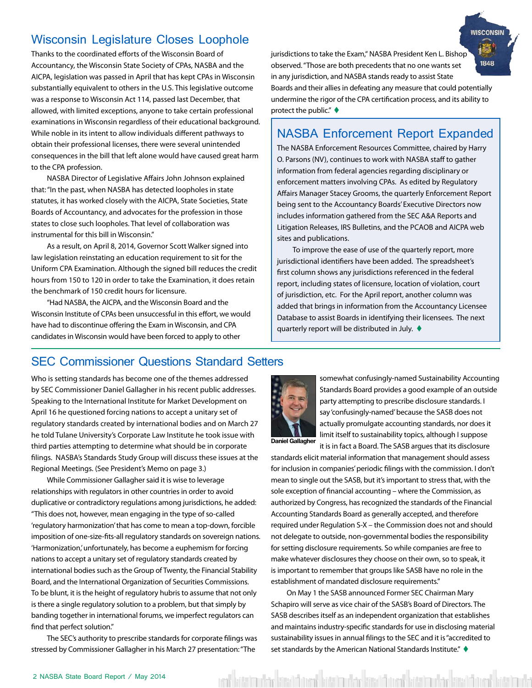#### <span id="page-1-0"></span>Wisconsin Legislature Closes Loophole

Thanks to the coordinated efforts of the Wisconsin Board of Accountancy, the Wisconsin State Society of CPAs, NASBA and the AICPA, legislation was passed in April that has kept CPAs in Wisconsin substantially equivalent to others in the U.S. This legislative outcome was a response to Wisconsin Act 114, passed last December, that allowed, with limited exceptions, anyone to take certain professional examinations in Wisconsin regardless of their educational background. While noble in its intent to allow individuals different pathways to obtain their professional licenses, there were several unintended consequences in the bill that left alone would have caused great harm to the CPA profession.

NASBA Director of Legislative Affairs John Johnson explained that: "In the past, when NASBA has detected loopholes in state statutes, it has worked closely with the AICPA, State Societies, State Boards of Accountancy, and advocates for the profession in those states to close such loopholes. That level of collaboration was instrumental for this bill in Wisconsin."

As a result, on April 8, 2014, Governor Scott Walker signed into law legislation reinstating an education requirement to sit for the Uniform CPA Examination. Although the signed bill reduces the credit hours from 150 to 120 in order to take the Examination, it does retain the benchmark of 150 credit hours for licensure.

"Had NASBA, the AICPA, and the Wisconsin Board and the Wisconsin Institute of CPAs been unsuccessful in this effort, we would have had to discontinue offering the Exam in Wisconsin, and CPA candidates in Wisconsin would have been forced to apply to other

jurisdictions to take the Exam," NASBA President Ken L. Bishop 1848 observed. "Those are both precedents that no one wants set in any jurisdiction, and NASBA stands ready to assist State Boards and their allies in defeating any measure that could potentially undermine the rigor of the CPA certification process, and its ability to protect the public."  $\blacklozenge$ 

**WISCONSIN** 

#### NASBA Enforcement Report Expanded

The NASBA Enforcement Resources Committee, chaired by Harry O. Parsons (NV), continues to work with NASBA staff to gather information from federal agencies regarding disciplinary or enforcement matters involving CPAs. As edited by Regulatory Affairs Manager Stacey Grooms, the quarterly Enforcement Report being sent to the Accountancy Boards' Executive Directors now includes information gathered from the SEC A&A Reports and Litigation Releases, IRS Bulletins, and the PCAOB and AICPA web sites and publications.

To improve the ease of use of the quarterly report, more jurisdictional identifiers have been added. The spreadsheet's first column shows any jurisdictions referenced in the federal report, including states of licensure, location of violation, court of jurisdiction, etc. For the April report, another column was added that brings in information from the Accountancy Licensee Database to assist Boards in identifying their licensees. The next quarterly report will be distributed in July.  $\blacklozenge$ 

#### SEC Commissioner Questions Standard Setters

Who is setting standards has become one of the themes addressed by SEC Commissioner Daniel Gallagher in his recent public addresses. Speaking to the International Institute for Market Development on April 16 he questioned forcing nations to accept a unitary set of regulatory standards created by international bodies and on March 27 he told Tulane University's Corporate Law Institute he took issue with third parties attempting to determine what should be in corporate filings. NASBA's Standards Study Group will discuss these issues at the Regional Meetings. (See President's Memo on page 3.)

While Commissioner Gallagher said it is wise to leverage relationships with regulators in other countries in order to avoid duplicative or contradictory regulations among jurisdictions, he added: "This does not, however, mean engaging in the type of so-called 'regulatory harmonization' that has come to mean a top-down, forcible imposition of one-size-fits-all regulatory standards on sovereign nations. 'Harmonization,' unfortunately, has become a euphemism for forcing nations to accept a unitary set of regulatory standards created by international bodies such as the Group of Twenty, the Financial Stability Board, and the International Organization of Securities Commissions. To be blunt, it is the height of regulatory hubris to assume that not only is there a single regulatory solution to a problem, but that simply by banding together in international forums, we imperfect regulators can find that perfect solution."

The SEC's authority to prescribe standards for corporate filings was stressed by Commissioner Gallagher in his March 27 presentation: "The



somewhat confusingly-named Sustainability Accounting Standards Board provides a good example of an outside party attempting to prescribe disclosure standards. I say 'confusingly-named' because the SASB does not actually promulgate accounting standards, nor does it limit itself to sustainability topics, although I suppose it is in fact a Board. The SASB argues that its disclosure

**Daniel Gallagher**

standards elicit material information that management should assess for inclusion in companies' periodic filings with the commission. I don't mean to single out the SASB, but it's important to stress that, with the sole exception of financial accounting – where the Commission, as authorized by Congress, has recognized the standards of the Financial Accounting Standards Board as generally accepted, and therefore required under Regulation S-X – the Commission does not and should not delegate to outside, non-governmental bodies the responsibility for setting disclosure requirements. So while companies are free to make whatever disclosures they choose on their own, so to speak, it is important to remember that groups like SASB have no role in the establishment of mandated disclosure requirements."

On May 1 the SASB announced Former SEC Chairman Mary Schapiro will serve as vice chair of the SASB's Board of Directors. The SASB describes itself as an independent organization that establishes and maintains industry-specific standards for use in disclosing material sustainability issues in annual filings to the SEC and it is "accredited to set standards by the American National Standards Institute."  $\blacklozenge$ 

ent batta utak kata barai kata utak kata barai kata utak kata barai kata kata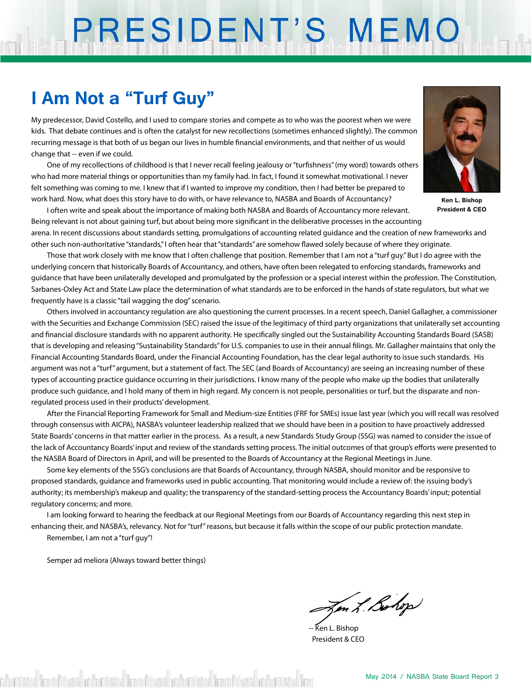# PRESIDENT'S MEMO

## **I Am Not a "Turf Guy"**

My predecessor, David Costello, and I used to compare stories and compete as to who was the poorest when we were kids. That debate continues and is often the catalyst for new recollections (sometimes enhanced slightly). The common recurring message is that both of us began our lives in humble financial environments, and that neither of us would change that -- even if we could.

One of my recollections of childhood is that I never recall feeling jealousy or "turfishness" (my word) towards others who had more material things or opportunities than my family had. In fact, I found it somewhat motivational. I never felt something was coming to me. I knew that if I wanted to improve my condition, then I had better be prepared to work hard. Now, what does this story have to do with, or have relevance to, NASBA and Boards of Accountancy?

I often write and speak about the importance of making both NASBA and Boards of Accountancy more relevant. Being relevant is not about gaining turf, but about being more significant in the deliberative processes in the accounting



**Ken L. Bishop President & CEO**

arena. In recent discussions about standards setting, promulgations of accounting related guidance and the creation of new frameworks and other such non-authoritative "standards," I often hear that "standards" are somehow flawed solely because of where they originate.

Those that work closely with me know that I often challenge that position. Remember that I am not a "turf guy." But I do agree with the underlying concern that historically Boards of Accountancy, and others, have often been relegated to enforcing standards, frameworks and guidance that have been unilaterally developed and promulgated by the profession or a special interest within the profession. The Constitution, Sarbanes-Oxley Act and State Law place the determination of what standards are to be enforced in the hands of state regulators, but what we frequently have is a classic "tail wagging the dog" scenario.

Others involved in accountancy regulation are also questioning the current processes. In a recent speech, Daniel Gallagher, a commissioner with the Securities and Exchange Commission (SEC) raised the issue of the legitimacy of third party organizations that unilaterally set accounting and financial disclosure standards with no apparent authority. He specifically singled out the Sustainability Accounting Standards Board (SASB) that is developing and releasing "Sustainability Standards" for U.S. companies to use in their annual filings. Mr. Gallagher maintains that only the Financial Accounting Standards Board, under the Financial Accounting Foundation, has the clear legal authority to issue such standards. His argument was not a "turf" argument, but a statement of fact. The SEC (and Boards of Accountancy) are seeing an increasing number of these types of accounting practice guidance occurring in their jurisdictions. I know many of the people who make up the bodies that unilaterally produce such guidance, and I hold many of them in high regard. My concern is not people, personalities or turf, but the disparate and nonregulated process used in their products' development.

After the Financial Reporting Framework for Small and Medium-size Entities (FRF for SMEs) issue last year (which you will recall was resolved through consensus with AICPA), NASBA's volunteer leadership realized that we should have been in a position to have proactively addressed State Boards' concerns in that matter earlier in the process. As a result, a new Standards Study Group (SSG) was named to consider the issue of the lack of Accountancy Boards' input and review of the standards setting process. The initial outcomes of that group's efforts were presented to the NASBA Board of Directors in April, and will be presented to the Boards of Accountancy at the Regional Meetings in June.

Some key elements of the SSG's conclusions are that Boards of Accountancy, through NASBA, should monitor and be responsive to proposed standards, guidance and frameworks used in public accounting. That monitoring would include a review of: the issuing body's authority; its membership's makeup and quality; the transparency of the standard-setting process the Accountancy Boards' input; potential regulatory concerns; and more.

I am looking forward to hearing the feedback at our Regional Meetings from our Boards of Accountancy regarding this next step in enhancing their, and NASBA's, relevancy. Not for "turf" reasons, but because it falls within the scope of our public protection mandate. Remember, I am not a "turf guy"!

Semper ad meliora (Always toward better things)

Jen L. Bohop

-- Ken L. Bishop President & CEO

shumbeted firms infected and contained finantial and under the finantial and contained firm